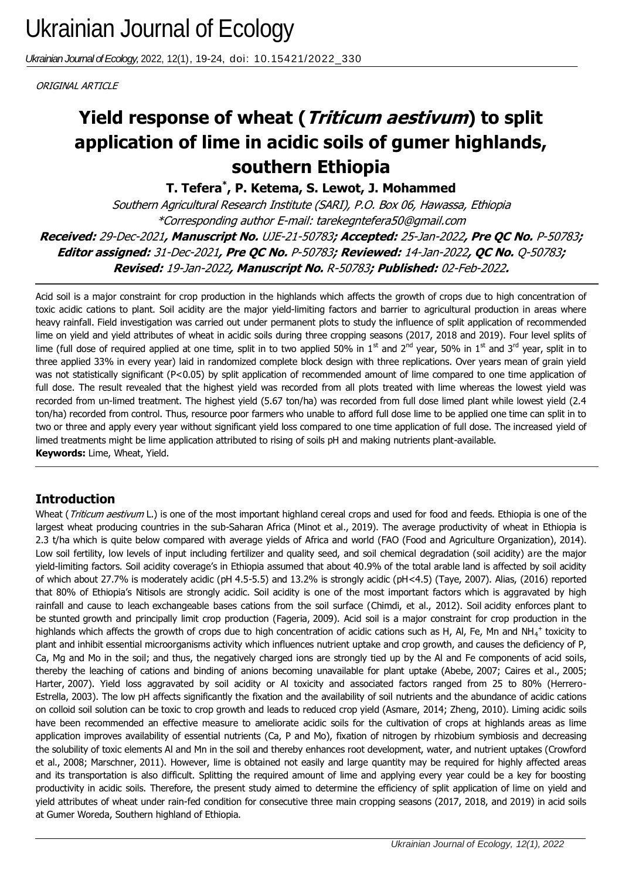*Ukrainian Journal of Ecology,* 2022, 12(1), 19-24, doi: 10.15421/2022\_330

ORIGINAL ARTICLE

# application of lime in acidic soils of gumer highlands, **Yield response of wheat (Triticum aestivum) to split southern Ethiopia**

**T. Tefera\* , P. Ketema, S. Lewot, J. Mohammed**

Southern Agricultural Research Institute (SARI), P.O. Box 06, Hawassa, Ethiopia \*Corresponding author E-mail: tarekegntefera50@gmail.com **Received:** 29-Dec-2021**, Manuscript No.** UJE-21-50783**; Accepted:** 25-Jan-2022**, Pre QC No.** P-50783**; Editor assigned:** 31-Dec-2021**, Pre QC No.** P-50783**; Reviewed:** 14-Jan-2022**, QC No.** Q-50783**; Revised:** 19-Jan-2022**, Manuscript No.** R-50783**; Published:** 02-Feb-2022**.**

Acid soil is a major constraint for crop production in the highlands which affects the growth of crops due to high concentration of toxic acidic cations to plant. Soil acidity are the major yield-limiting factors and barrier to agricultural production in areas where heavy rainfall. Field investigation was carried out under permanent plots to study the influence of split application of recommended lime on yield and yield attributes of wheat in acidic soils during three cropping seasons (2017, 2018 and 2019). Four level splits of lime (full dose of required applied at one time, split in to two applied 50% in 1<sup>st</sup> and 2<sup>nd</sup> year, 50% in 1<sup>st</sup> and 3<sup>rd</sup> year, split in to three applied 33% in every year) laid in randomized complete block design with three replications. Over years mean of grain yield was not statistically significant (P<0.05) by split application of recommended amount of lime compared to one time application of full dose. The result revealed that the highest yield was recorded from all plots treated with lime whereas the lowest yield was recorded from un-limed treatment. The highest yield (5.67 ton/ha) was recorded from full dose limed plant while lowest yield (2.4 ton/ha) recorded from control. Thus, resource poor farmers who unable to afford full dose lime to be applied one time can split in to two or three and apply every year without significant yield loss compared to one time application of full dose. The increased yield of limed treatments might be lime application attributed to rising of soils pH and making nutrients plant-available. **Keywords:** Lime, Wheat, Yield.

# **Introduction**

Wheat (Triticum aestivum L.) is one of the most important highland cereal crops and used for food and feeds. Ethiopia is one of the largest wheat producing countries in the sub-Saharan Africa (Minot et al., 2019). The average productivity of wheat in Ethiopia is 2.3 t/ha which is quite below compared with average yields of Africa and world (FAO (Food and Agriculture Organization), 2014). Low soil fertility, low levels of input including fertilizer and quality seed, and soil chemical degradation (soil acidity) are the major yield-limiting factors. Soil acidity coverage's in Ethiopia assumed that about 40.9% of the total arable land is affected by soil acidity of which about 27.7% is moderately acidic (pH 4.5-5.5) and 13.2% is strongly acidic (pH<4.5) (Taye, 2007). Alias, (2016) reported that 80% of Ethiopia's Nitisols are strongly acidic. Soil acidity is one of the most important factors which is aggravated by high rainfall and cause to leach exchangeable bases cations from the soil surface (Chimdi, et al., 2012). Soil acidity enforces plant to be stunted growth and principally limit crop production (Fageria, 2009). Acid soil is a major constraint for crop production in the highlands which affects the growth of crops due to high concentration of acidic cations such as H, Al, Fe, Mn and NH<sub>4</sub><sup>+</sup> toxicity to plant and inhibit essential microorganisms activity which influences nutrient uptake and crop growth, and causes the deficiency of P, Ca, Mg and Mo in the soil; and thus, the negatively charged ions are strongly tied up by the Al and Fe components of acid soils, thereby the leaching of cations and binding of anions becoming unavailable for plant uptake (Abebe, 2007; Caires et al., 2005; Harter, 2007). Yield loss aggravated by soil acidity or Al toxicity and associated factors ranged from 25 to 80% (Herrero-Estrella, 2003). The low pH affects significantly the fixation and the availability of soil nutrients and the abundance of acidic cations on colloid soil solution can be toxic to crop growth and leads to reduced crop yield (Asmare, 2014; Zheng, 2010). Liming acidic soils have been recommended an effective measure to ameliorate acidic soils for the cultivation of crops at highlands areas as lime application improves availability of essential nutrients (Ca, P and Mo), fixation of nitrogen by rhizobium symbiosis and decreasing the solubility of toxic elements Al and Mn in the soil and thereby enhances root development, water, and nutrient uptakes (Crowford et al., 2008; Marschner, 2011). However, lime is obtained not easily and large quantity may be required for highly affected areas and its transportation is also difficult. Splitting the required amount of lime and applying every year could be a key for boosting productivity in acidic soils. Therefore, the present study aimed to determine the efficiency of split application of lime on yield and yield attributes of wheat under rain-fed condition for consecutive three main cropping seasons (2017, 2018, and 2019) in acid soils at Gumer Woreda, Southern highland of Ethiopia.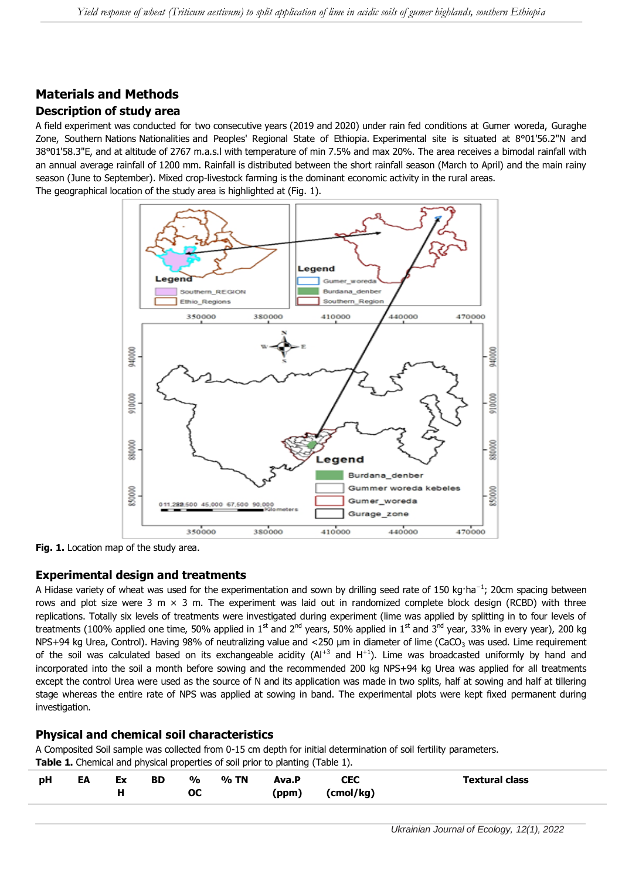## **Materials and Methods Description of study area**

A field experiment was conducted for two consecutive years (2019 and 2020) under rain fed conditions at Gumer woreda, Guraghe Zone, Southern Nations Nationalities and Peoples' Regional State of Ethiopia. Experimental site is situated at 8°01'56.2"N and 38°01'58.3"E, and at altitude of 2767 m.a.s.l with temperature of min 7.5% and max 20%. The area receives a bimodal rainfall with an annual average rainfall of 1200 mm. Rainfall is distributed between the short rainfall season (March to April) and the main rainy season (June to September). Mixed crop-livestock farming is the dominant economic activity in the rural areas. The geographical location of the study area is highlighted at (Fig. 1).



**Fig. 1.** Location map of the study area.

## **Experimental design and treatments**

A Hidase variety of wheat was used for the experimentation and sown by drilling seed rate of 150 kg·ha<sup>−1</sup>; 20cm spacing between rows and plot size were 3 m  $\times$  3 m. The experiment was laid out in randomized complete block design (RCBD) with three replications. Totally six levels of treatments were investigated during experiment (lime was applied by splitting in to four levels of treatments (100% applied one time, 50% applied in 1<sup>st</sup> and 2<sup>nd</sup> years, 50% applied in 1<sup>st</sup> and 3<sup>nd</sup> year, 33% in every year), 200 kg NPS+94 kg Urea, Control). Having 98% of neutralizing value and <250 µm in diameter of lime (CaCO<sub>3</sub> was used. Lime requirement of the soil was calculated based on its exchangeable acidity  $(AI^{+3}$  and  $H^{+1}$ ). Lime was broadcasted uniformly by hand and incorporated into the soil a month before sowing and the recommended 200 kg NPS+94 kg Urea was applied for all treatments except the control Urea were used as the source of N and its application was made in two splits, half at sowing and half at tillering stage whereas the entire rate of NPS was applied at sowing in band. The experimental plots were kept fixed permanent during investigation.

## **Physical and chemical soil characteristics**

A Composited Soil sample was collected from 0-15 cm depth for initial determination of soil fertility parameters. **Table 1.** Chemical and physical properties of soil prior to planting (Table 1).

|    |    |    |           |                            |      | --             |                  |                       |
|----|----|----|-----------|----------------------------|------|----------------|------------------|-----------------------|
| pH | EA | Ex | <b>BD</b> | $\frac{0}{0}$<br><b>OC</b> | % TN | Ava.P<br>(ppm) | CEC<br>(cmol/kg) | <b>Textural class</b> |
|    |    |    |           |                            |      |                |                  |                       |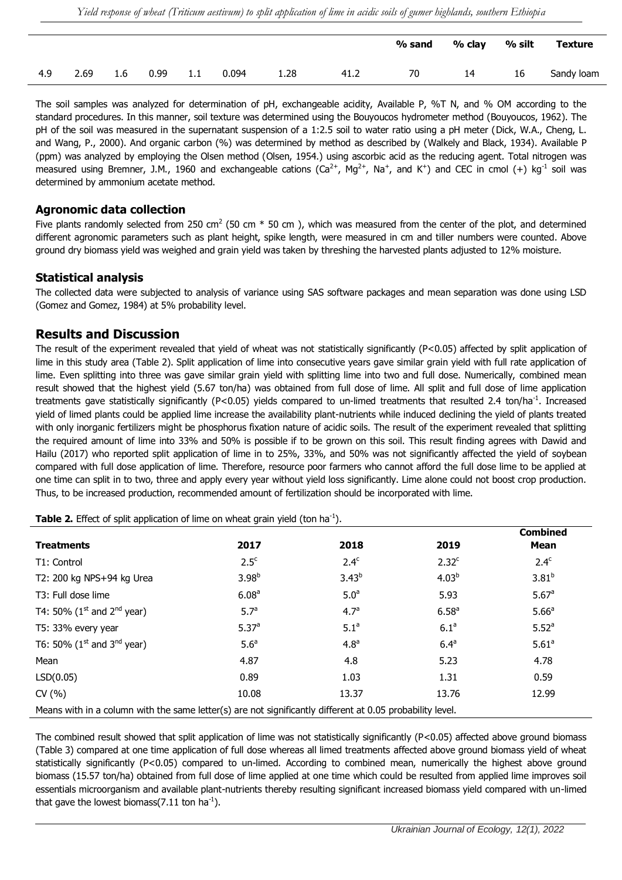|     |      |     |      |     |       |      |      | % sand | % clay | % silt | <b>Texture</b> |
|-----|------|-----|------|-----|-------|------|------|--------|--------|--------|----------------|
| 4.9 | 2.69 | 1.6 | 0.99 | 1.1 | 0.094 | 1.28 | 41.2 | 70     | 14     | 16     | Sandy loam     |

The soil samples was analyzed for determination of pH, exchangeable acidity, Available P, %T N, and % OM according to the standard procedures. In this manner, soil texture was determined using the Bouyoucos hydrometer method (Bouyoucos, 1962). The pH of the soil was measured in the supernatant suspension of a 1:2.5 soil to water ratio using a pH meter (Dick, W.A., Cheng, L. and Wang, P., 2000). And organic carbon (%) was determined by method as described by (Walkely and Black, 1934). Available P (ppm) was analyzed by employing the Olsen method (Olsen, 1954.) using ascorbic acid as the reducing agent. Total nitrogen was measured using Bremner, J.M., 1960 and exchangeable cations ( $Ca^{2+}$ ,  $Mg^{2+}$ , Na<sup>+</sup>, and K<sup>+</sup>) and CEC in cmol (+) kg<sup>-1</sup> soil was determined by ammonium acetate method.

#### **Agronomic data collection**

Five plants randomly selected from 250 cm<sup>2</sup> (50 cm  $*$  50 cm), which was measured from the center of the plot, and determined different agronomic parameters such as plant height, spike length, were measured in cm and tiller numbers were counted. Above ground dry biomass yield was weighed and grain yield was taken by threshing the harvested plants adjusted to 12% moisture.

#### **Statistical analysis**

The collected data were subjected to analysis of variance using SAS software packages and mean separation was done using LSD (Gomez and Gomez, 1984) at 5% probability level.

#### **Results and Discussion**

The result of the experiment revealed that yield of wheat was not statistically significantly (P<0.05) affected by split application of lime in this study area (Table 2). Split application of lime into consecutive years gave similar grain yield with full rate application of lime. Even splitting into three was gave similar grain yield with splitting lime into two and full dose. Numerically, combined mean result showed that the highest yield (5.67 ton/ha) was obtained from full dose of lime. All split and full dose of lime application treatments gave statistically significantly (P<0.05) yields compared to un-limed treatments that resulted 2.4 ton/ha<sup>-1</sup>. Increased yield of limed plants could be applied lime increase the availability plant-nutrients while induced declining the yield of plants treated with only inorganic fertilizers might be phosphorus fixation nature of acidic soils. The result of the experiment revealed that splitting the required amount of lime into 33% and 50% is possible if to be grown on this soil. This result finding agrees with Dawid and Hailu (2017) who reported split application of lime in to 25%, 33%, and 50% was not significantly affected the yield of soybean compared with full dose application of lime. Therefore, resource poor farmers who cannot afford the full dose lime to be applied at one time can split in to two, three and apply every year without yield loss significantly. Lime alone could not boost crop production. Thus, to be increased production, recommended amount of fertilization should be incorporated with lime.

**Table 2.** Effect of split application of lime on wheat grain yield (ton ha<sup>-1</sup>).

| <b>Treatments</b>                                                                                         | 2017              | 2018             | 2019              | <b>Combined</b><br><b>Mean</b> |
|-----------------------------------------------------------------------------------------------------------|-------------------|------------------|-------------------|--------------------------------|
| T1: Control                                                                                               | 2.5 <sup>c</sup>  | 2.4 <sup>c</sup> | $2.32^c$          | 2.4 <sup>c</sup>               |
| T2: 200 kg NPS+94 kg Urea                                                                                 | 3.98 <sup>b</sup> | $3.43^{b}$       | 4.03 <sup>b</sup> | $3.81^{b}$                     |
| T3: Full dose lime                                                                                        | 6.08 <sup>a</sup> | 5.0 <sup>a</sup> | 5.93              | 5.67a                          |
| T4: 50% ( $1^{st}$ and $2^{nd}$ year)                                                                     | 5.7 <sup>a</sup>  | 4.7 <sup>a</sup> | $6.58^{a}$        | 5.66 <sup>a</sup>              |
| T5: 33% every year                                                                                        | 5.37 <sup>a</sup> | 5.1 <sup>a</sup> | 6.1 <sup>a</sup>  | 5.52 <sup>a</sup>              |
| T6: 50% ( $1^{st}$ and $3^{nd}$ year)                                                                     | 5.6 <sup>a</sup>  | 4.8 <sup>a</sup> | 6.4 <sup>a</sup>  | 5.61 <sup>a</sup>              |
| Mean                                                                                                      | 4.87              | 4.8              | 5.23              | 4.78                           |
| LSD(0.05)                                                                                                 | 0.89              | 1.03             | 1.31              | 0.59                           |
| CV(% )                                                                                                    | 10.08             | 13.37            | 13.76             | 12.99                          |
| Means with in a column with the same letter(s) are not significantly different at 0.05 probability level. |                   |                  |                   |                                |

The combined result showed that split application of lime was not statistically significantly (P<0.05) affected above ground biomass (Table 3) compared at one time application of full dose whereas all limed treatments affected above ground biomass yield of wheat statistically significantly (P<0.05) compared to un-limed. According to combined mean, numerically the highest above ground biomass (15.57 ton/ha) obtained from full dose of lime applied at one time which could be resulted from applied lime improves soil essentials microorganism and available plant-nutrients thereby resulting significant increased biomass yield compared with un-limed that gave the lowest biomass(7.11 ton ha<sup>-1</sup>).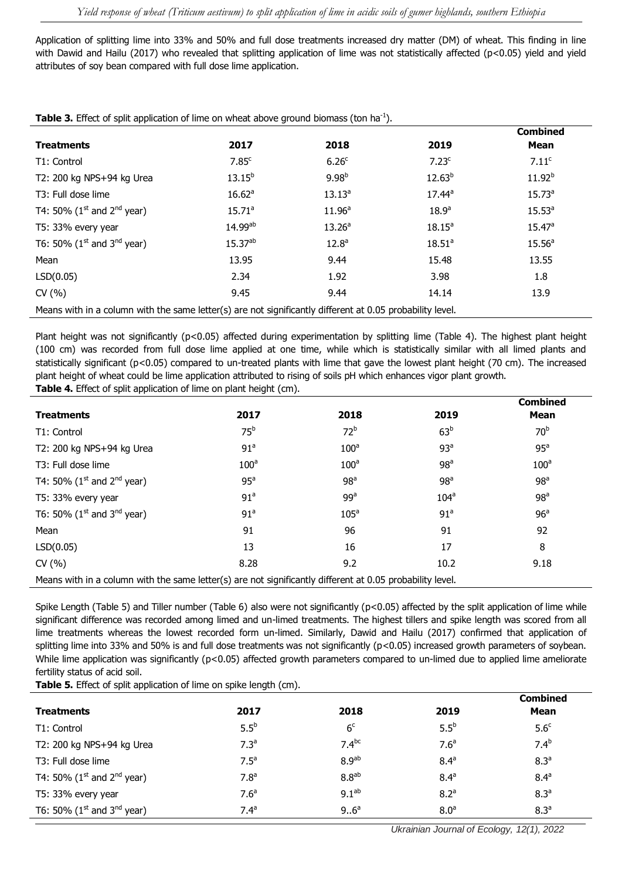Application of splitting lime into 33% and 50% and full dose treatments increased dry matter (DM) of wheat. This finding in line with Dawid and Hailu (2017) who revealed that splitting application of lime was not statistically affected (p<0.05) yield and yield attributes of soy bean compared with full dose lime application.

| <b>I divide 5.</b> Effect of Split application of liftle on writed above ground biomass (ton half).       |                    |                    |                   |                    |  |  |  |
|-----------------------------------------------------------------------------------------------------------|--------------------|--------------------|-------------------|--------------------|--|--|--|
|                                                                                                           |                    |                    |                   | <b>Combined</b>    |  |  |  |
| <b>Treatments</b>                                                                                         | 2017               | 2018               | 2019              | Mean               |  |  |  |
| T1: Control                                                                                               | 7.85 <sup>c</sup>  | 6.26 <sup>c</sup>  | 7.23 <sup>c</sup> | 7.11 <sup>c</sup>  |  |  |  |
| T2: 200 kg NPS+94 kg Urea                                                                                 | $13.15^{b}$        | 9.98 <sup>b</sup>  | $12.63^{b}$       | $11.92^{b}$        |  |  |  |
| T3: Full dose lime                                                                                        | 16.62 <sup>a</sup> | $13.13^{a}$        | $17.44^a$         | 15.73 <sup>a</sup> |  |  |  |
| T4: 50% ( $1^{\text{st}}$ and $2^{\text{nd}}$ year)                                                       | 15.71 <sup>a</sup> | 11.96 <sup>a</sup> | 18.9 <sup>a</sup> | $15.53^{a}$        |  |  |  |
| T5: 33% every year                                                                                        | 14.99ab            | 13.26 <sup>a</sup> | $18.15^a$         | $15.47^{\circ}$    |  |  |  |
| T6: 50% ( $1^{\text{st}}$ and $3^{\text{nd}}$ year)                                                       | 15.37ab            | 12.8 <sup>a</sup>  | $18.51^a$         | 15.56 <sup>a</sup> |  |  |  |
| Mean                                                                                                      | 13.95              | 9.44               | 15.48             | 13.55              |  |  |  |
| LSD(0.05)                                                                                                 | 2.34               | 1.92               | 3.98              | 1.8                |  |  |  |
| CV(% )                                                                                                    | 9.45               | 9.44               | 14.14             | 13.9               |  |  |  |
| Means with in a column with the same letter(s) are not significantly different at 0.05 probability level. |                    |                    |                   |                    |  |  |  |

**Table 3.** Effect of split application of lime on wheat above ground biomass (ton ha<sup>-1</sup>).

Plant height was not significantly (p<0.05) affected during experimentation by splitting lime (Table 4). The highest plant height (100 cm) was recorded from full dose lime applied at one time, while which is statistically similar with all limed plants and statistically significant (p<0.05) compared to un-treated plants with lime that gave the lowest plant height (70 cm). The increased plant height of wheat could be lime application attributed to rising of soils pH which enhances vigor plant growth.

**Table 4.** Effect of split application of lime on plant height (cm).

| <b>Treatments</b>                                                                                         | 2017             | 2018             | 2019             | <b>Combined</b><br><b>Mean</b> |
|-----------------------------------------------------------------------------------------------------------|------------------|------------------|------------------|--------------------------------|
| T1: Control                                                                                               | 75 <sup>b</sup>  | 72 <sup>b</sup>  | 63 <sup>b</sup>  | 70 <sup>b</sup>                |
| T2: 200 kg NPS+94 kg Urea                                                                                 | 91 <sup>a</sup>  | 100 <sup>a</sup> | 93 <sup>a</sup>  | 95 <sup>a</sup>                |
| T3: Full dose lime                                                                                        | 100 <sup>a</sup> | 100 <sup>a</sup> | 98 <sup>a</sup>  | 100 <sup>a</sup>               |
| T4: 50% ( $1^{st}$ and $2^{nd}$ year)                                                                     | 95 <sup>a</sup>  | 98 <sup>a</sup>  | 98 <sup>a</sup>  | 98 <sup>a</sup>                |
| T5: 33% every year                                                                                        | 91 <sup>a</sup>  | 99 <sup>a</sup>  | 104 <sup>a</sup> | 98 <sup>a</sup>                |
| T6: 50% ( $1^{\text{st}}$ and $3^{\text{nd}}$ year)                                                       | 91 <sup>a</sup>  | 105 <sup>a</sup> | 91 <sup>a</sup>  | 96 <sup>a</sup>                |
| Mean                                                                                                      | 91               | 96               | 91               | 92                             |
| LSD(0.05)                                                                                                 | 13               | 16               | 17               | 8                              |
| CV(% )                                                                                                    | 8.28             | 9.2              | 10.2             | 9.18                           |
| Means with in a column with the same letter(s) are not significantly different at 0.05 probability level. |                  |                  |                  |                                |

Spike Length (Table 5) and Tiller number (Table 6) also were not significantly (p<0.05) affected by the split application of lime while significant difference was recorded among limed and un-limed treatments. The highest tillers and spike length was scored from all lime treatments whereas the lowest recorded form un-limed. Similarly, Dawid and Hailu (2017) confirmed that application of splitting lime into 33% and 50% is and full dose treatments was not significantly (p<0.05) increased growth parameters of soybean. While lime application was significantly (p<0.05) affected growth parameters compared to un-limed due to applied lime ameliorate fertility status of acid soil.

Table 5. Effect of split application of lime on spike length (cm).

|                                       |                  |                   |                  | <b>Combined</b>  |
|---------------------------------------|------------------|-------------------|------------------|------------------|
| <b>Treatments</b>                     | 2017             | 2018              | 2019             | Mean             |
| T1: Control                           | 5.5 <sup>b</sup> | 6 <sup>c</sup>    | 5.5 <sup>b</sup> | 5.6 <sup>c</sup> |
| T2: 200 kg NPS+94 kg Urea             | 7.3 <sup>a</sup> | $7.4^{bc}$        | 7.6 <sup>a</sup> | 7.4 <sup>b</sup> |
| T3: Full dose lime                    | 7.5 <sup>a</sup> | 8.9 <sup>ab</sup> | 8.4 <sup>a</sup> | 8.3 <sup>a</sup> |
| T4: 50% ( $1^{st}$ and $2^{nd}$ year) | 7.8 <sup>a</sup> | 8.8 <sup>ab</sup> | 8.4 <sup>a</sup> | 8.4 <sup>a</sup> |
| T5: 33% every year                    | 7.6 <sup>a</sup> | 9.1 <sup>ab</sup> | 8.2 <sup>a</sup> | 8.3 <sup>a</sup> |
| T6: 50% ( $1^{st}$ and $3^{nd}$ year) | 7.4 <sup>a</sup> | 9.6 <sup>a</sup>  | 8.0 <sup>a</sup> | 8.3 <sup>a</sup> |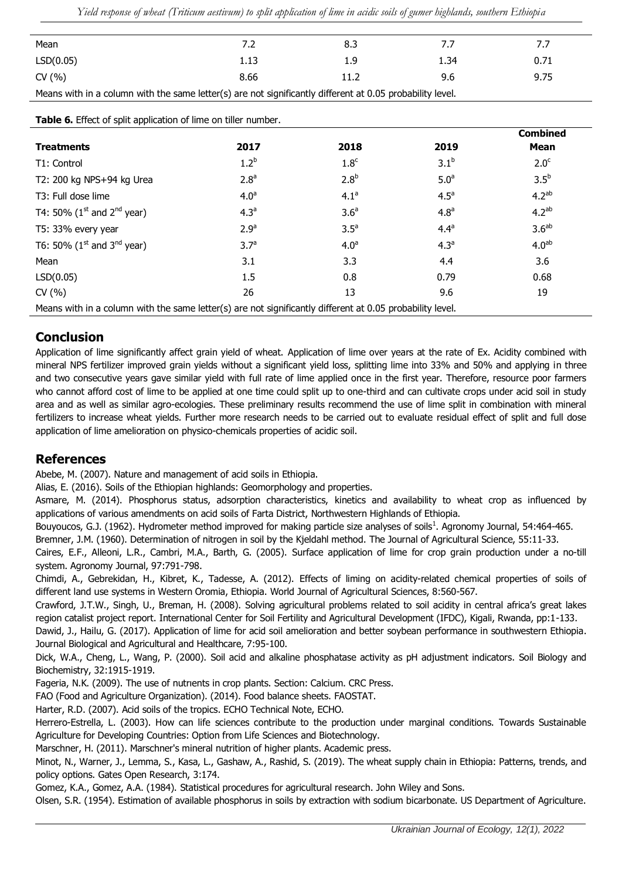*Yield response of wheat (Triticum aestivum) to split application of lime in acidic soils of gumer highlands, southern Ethiopia*

| Mean                                                                                                      | 7.2  | 8.3  |      | 7.7  |  |  |
|-----------------------------------------------------------------------------------------------------------|------|------|------|------|--|--|
| LSD(0.05)                                                                                                 | 1.13 | 1.9  | 1.34 | 0.71 |  |  |
| CV (%)                                                                                                    | 8.66 | 11.2 | 9.6  | 9.75 |  |  |
| Means with in a column with the same letter(s) are not significantly different at 0.05 probability level. |      |      |      |      |  |  |

**Table 6.** Effect of split application of lime on tiller number. **Treatments 2017 2018 2019 Combined Mean** T1: Control  $1.2<sup>b</sup>$ 1.8<sup>c</sup>  $3.1^{b}$  $2.0<sup>c</sup>$ T2: 200 kg NPS+94 kg Urea  $2.8^a$  $2.8<sup>b</sup>$ 5.0<sup>a</sup>  $3.5<sup>b</sup>$ T3: Full dose lime  $4.0<sup>a</sup>$  $4.1<sup>a</sup>$  $4.5<sup>a</sup>$  $4.2<sup>ab</sup>$ T4: 50% (1<sup>st</sup> and 2<sup>nd</sup> year)  $4.3^{\circ}$  $3.6<sup>a</sup>$  $4.8<sup>a</sup>$ 4.2ab T5:  $33\%$  every year 2.9<sup>a</sup>  $3.5<sup>a</sup>$  $4.4<sup>a</sup>$  $3.6<sup>ab</sup>$ T6: 50% ( $1^{\text{st}}$  and  $3^{\text{nd}}$  year) 3.7<sup>a</sup>  $4.0<sup>a</sup>$  $4.3<sup>a</sup>$  $4.0<sup>ab</sup>$ Mean 3.6 3.2 3.3 4.4 3.6 LSD(0.05) 1.5 0.8 0.79 0.68 CV (%) 26 26 13 9.6 19 Means with in a column with the same letter(s) are not significantly different at 0.05 probability level.

# **Conclusion**

Application of lime significantly affect grain yield of wheat. Application of lime over years at the rate of Ex. Acidity combined with mineral NPS fertilizer improved grain yields without a significant yield loss, splitting lime into 33% and 50% and applying in three and two consecutive years gave similar yield with full rate of lime applied once in the first year. Therefore, resource poor farmers who cannot afford cost of lime to be applied at one time could split up to one-third and can cultivate crops under acid soil in study area and as well as similar agro-ecologies. These preliminary results recommend the use of lime split in combination with mineral fertilizers to increase wheat yields. Further more research needs to be carried out to evaluate residual effect of split and full dose application of lime amelioration on physico-chemicals properties of acidic soil.

# **References**

Abebe, M. (2007). [Nature and management of acid soils in Ethiopia.](http://197.156.72.153:8080/xmlui/handle/123456789/2185)

Alias, E. (2016). [Soils of the Ethiopian highlands: Geomorphology and properties.](https://www.researchgate.net/publication/321849961_Soils_of_the_Ethiopian_Highlands_Geomorphology_and_Properties)

Asmare, M. (2014). Phosphorus status, adsorption characteristics, kinetics and availability to wheat crop as influenced by applications of various amendments on acid soils of Farta District, Northwestern Highlands of Ethiopia.

Bouyoucos, G.J. (1962). [Hydrometer method improved for making particle size analyses of soils](https://acsess.onlinelibrary.wiley.com/doi/abs/10.2134/agronj1962.00021962005400050028x)<sup>1</sup>. Agronomy Journal, 54:464-465.

Bremner, J.M. (1960). [Determination of nitrogen in soil by the Kjeldahl method.](https://www.cambridge.org/core/journals/journal-of-agricultural-science/article/determination-of-nitrogen-in-soil-by-the-kjeldahl-method/D609118DF2BA4830CC8126BF7F1372E2) The Journal of Agricultural Science, 55:11-33.

Caires, E.F., Alleoni, L.R., Cambri, M.A., Barth, G. (2005). [Surface application of lime for crop grain production under a no‐till](https://acsess.onlinelibrary.wiley.com/doi/abs/10.2134/agronj2004.0207)  [system.](https://acsess.onlinelibrary.wiley.com/doi/abs/10.2134/agronj2004.0207) Agronomy Journal, 97:791-798.

Chimdi, A., Gebrekidan, H., Kibret, K., Tadesse, A. (2012). [Effects of liming on acidity-related chemical properties of soils of](http://citeseerx.ist.psu.edu/viewdoc/download?doi=10.1.1.415.437&rep=rep1&type=pdf)  [different land use systems in Western Oromia, Ethiopia.](http://citeseerx.ist.psu.edu/viewdoc/download?doi=10.1.1.415.437&rep=rep1&type=pdf) World Journal of Agricultural Sciences, 8:560-567.

Crawford, J.T.W., Singh, U., Breman, H. (2008). [Solving agricultural problems related to soil acidity in central africa's](http://twc0etal.freeshell.org/tom/soil_acidity/pdfs/Crawford_et_al_Soil_Acidity_Control_Report.pdf) great lakes [region catalist project report.](http://twc0etal.freeshell.org/tom/soil_acidity/pdfs/Crawford_et_al_Soil_Acidity_Control_Report.pdf) International Center for Soil Fertility and Agricultural Development (IFDC), Kigali, Rwanda, pp:1-133.

Dawid, J., Hailu, G. (2017). [Application of lime for acid soil amelioration and better soybean performance in southwestern Ethiopia.](https://core.ac.uk/download/pdf/234662282.pdf) Journal Biological and Agricultural and Healthcare, 7:95-100.

Dick, W.A., Cheng, L., Wang, P. (2000). [Soil acid and alkaline phosphatase activity as pH adjustment indicators.](https://www.sciencedirect.com/science/article/pii/S0038071700001668) Soil Biology and Biochemistry, 32:1915-1919.

Fageria, N.K. (2009). The use of nutrıents in crop plants. Section: Calcium. CRC Press.

FAO (Food and Agriculture Organization). (2014). Food balance sheets. FAOSTAT.

Harter, R.D. (2007). [Acid soils of the tropics.](http://people.umass.edu/psoil370/Syllabus-files/Acid_Soils_of_the_Tropics.pdf) ECHO Technical Note, ECHO.

Herrero-Estrella, L. (2003). How can life sciences contribute to the production under marginal conditions. Towards Sustainable Agriculture for Developing Countries: Option from Life Sciences and Biotechnology.

Marschner, H. (2011). [Marschner's mineral nutrition of higher plants.](https://books.google.com/books?hl=en&lr=&id=yqKV3USG41cC&oi=fnd&pg=PP1&dq=Marschner%27s+mineral+nutrition+of+higher+plants&ots=Vc6H-9vZzm&sig=e_2UFbFBRQch5RjERNGrB0aELE8) Academic press.

Minot, N., Warner, J., Lemma, S., Kasa, L., Gashaw, A., Rashid, S. (2019). [The wheat supply chain in Ethiopia: Patterns, trends, and](https://gatesopenresearch.org/documents/3-174)  [policy options.](https://gatesopenresearch.org/documents/3-174) Gates Open Research, 3:174.

Gomez, K.A., Gomez, A.A. (1984). [Statistical procedures for agricultural research.](https://books.google.com/books?hl=en&lr=&id=PVN7_XRhpdUC&oi=fnd&pg=PA1&dq=Statistical+procedures+for+agricultural+research&ots=Hs79cpptt8&sig=A98RhU2D52O2YHaWHxahHSAC7RE) John Wiley and Sons.

Olsen, S.R. (1954)[. Estimation of available phosphorus in soils by extraction with sodium bicarbonate.](https://books.google.com/books?hl=en&lr=&id=d-oaM88x5agC&oi=fnd&pg=PA2&dq=Estimation+of+available+phosphorus+in+soils+by+extraction+with+sodium+bicarbonate&ots=zZZi0HgWVD&sig=TTdygKTNebwfqaOBxdoP20aBduo) US Department of Agriculture.